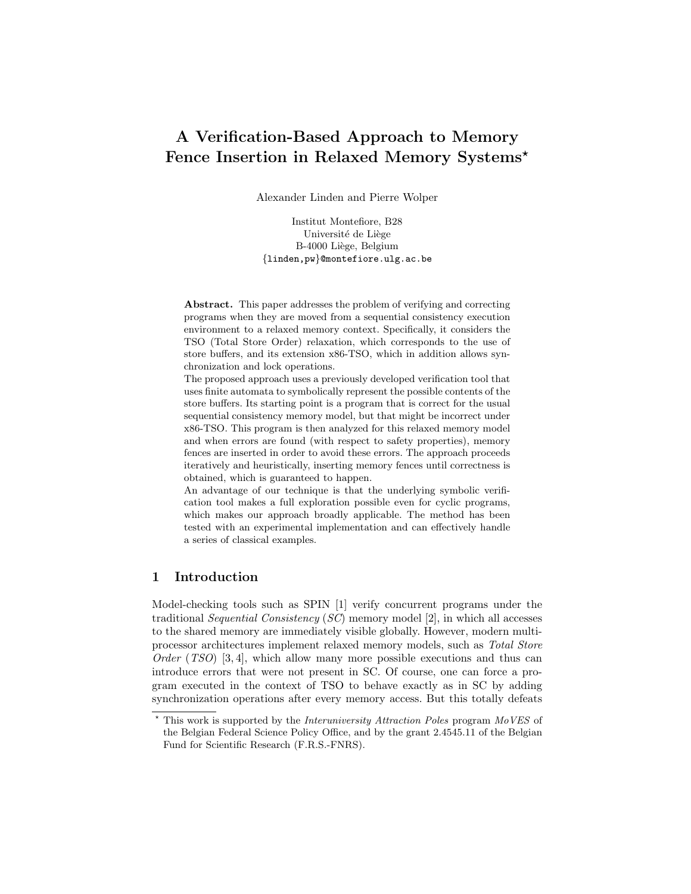# A Verification-Based Approach to Memory Fence Insertion in Relaxed Memory Systems?

Alexander Linden and Pierre Wolper

Institut Montefiore, B28 Université de Liège B-4000 Liège, Belgium {linden,pw}@montefiore.ulg.ac.be

Abstract. This paper addresses the problem of verifying and correcting programs when they are moved from a sequential consistency execution environment to a relaxed memory context. Specifically, it considers the TSO (Total Store Order) relaxation, which corresponds to the use of store buffers, and its extension x86-TSO, which in addition allows synchronization and lock operations.

The proposed approach uses a previously developed verification tool that uses finite automata to symbolically represent the possible contents of the store buffers. Its starting point is a program that is correct for the usual sequential consistency memory model, but that might be incorrect under x86-TSO. This program is then analyzed for this relaxed memory model and when errors are found (with respect to safety properties), memory fences are inserted in order to avoid these errors. The approach proceeds iteratively and heuristically, inserting memory fences until correctness is obtained, which is guaranteed to happen.

An advantage of our technique is that the underlying symbolic verification tool makes a full exploration possible even for cyclic programs, which makes our approach broadly applicable. The method has been tested with an experimental implementation and can effectively handle a series of classical examples.

# 1 Introduction

Model-checking tools such as SPIN [1] verify concurrent programs under the traditional Sequential Consistency (SC) memory model [2], in which all accesses to the shared memory are immediately visible globally. However, modern multiprocessor architectures implement relaxed memory models, such as Total Store Order (TSO) [3, 4], which allow many more possible executions and thus can introduce errors that were not present in SC. Of course, one can force a program executed in the context of TSO to behave exactly as in SC by adding synchronization operations after every memory access. But this totally defeats

This work is supported by the Interuniversity Attraction Poles program  $MoVES$  of the Belgian Federal Science Policy Office, and by the grant 2.4545.11 of the Belgian Fund for Scientific Research (F.R.S.-FNRS).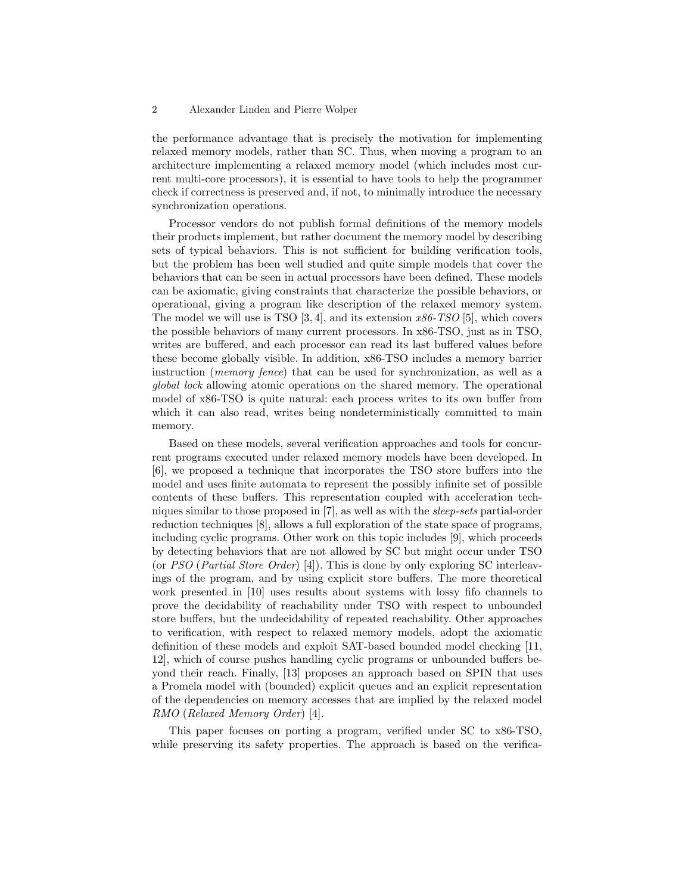the performance advantage that is precisely the motivation for implementing relaxed memory models, rather than SC. Thus, when moving a program to an architecture implementing a relaxed memory model (which includes most current multi-core processors), it is essential to have tools to help the programmer check if correctness is preserved and, if not, to minimally introduce the necessary synchronization operations.

Processor vendors do not publish formal definitions of the memory models their products implement, but rather document the memory model by describing sets of typical behaviors. This is not sufficient for building verification tools, but the problem has been well studied and quite simple models that cover the behaviors that can be seen in actual processors have been defined. These models can be axiomatic, giving constraints that characterize the possible behaviors, or operational, giving a program like description of the relaxed memory system. The model we will use is TSO [3, 4], and its extension  $x86-TSO$  [5], which covers the possible behaviors of many current processors. In x86-TSO, just as in TSO, writes are buffered, and each processor can read its last buffered values before these become globally visible. In addition, x86-TSO includes a memory barrier instruction (memory fence) that can be used for synchronization, as well as a global lock allowing atomic operations on the shared memory. The operational model of x86-TSO is quite natural: each process writes to its own buffer from which it can also read, writes being nondeterministically committed to main memory.

Based on these models, several verification approaches and tools for concurrent programs executed under relaxed memory models have been developed. In [6], we proposed a technique that incorporates the TSO store buffers into the model and uses finite automata to represent the possibly infinite set of possible contents of these buffers. This representation coupled with acceleration techniques similar to those proposed in [7], as well as with the sleep-sets partial-order reduction techniques [8], allows a full exploration of the state space of programs, including cyclic programs. Other work on this topic includes [9], which proceeds by detecting behaviors that are not allowed by SC but might occur under TSO (or PSO (Partial Store Order) [4]). This is done by only exploring SC interleavings of the program, and by using explicit store buffers. The more theoretical work presented in [10] uses results about systems with lossy fifo channels to prove the decidability of reachability under TSO with respect to unbounded store buffers, but the undecidability of repeated reachability. Other approaches to verification, with respect to relaxed memory models, adopt the axiomatic definition of these models and exploit SAT-based bounded model checking [11, 12], which of course pushes handling cyclic programs or unbounded buffers beyond their reach. Finally, [13] proposes an approach based on SPIN that uses a Promela model with (bounded) explicit queues and an explicit representation of the dependencies on memory accesses that are implied by the relaxed model RMO (Relaxed Memory Order) [4].

This paper focuses on porting a program, verified under SC to x86-TSO, while preserving its safety properties. The approach is based on the verifica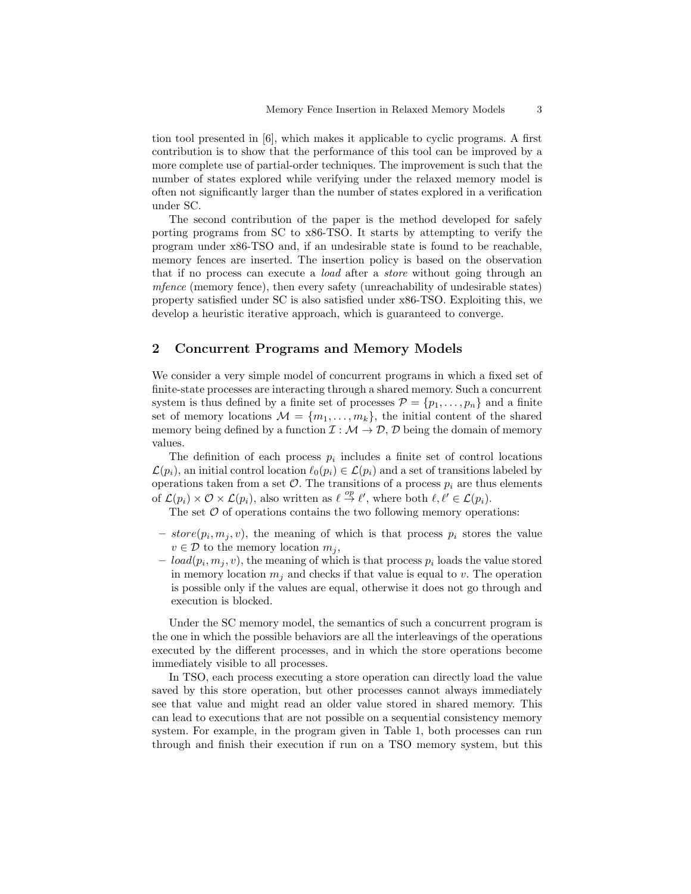tion tool presented in [6], which makes it applicable to cyclic programs. A first contribution is to show that the performance of this tool can be improved by a more complete use of partial-order techniques. The improvement is such that the number of states explored while verifying under the relaxed memory model is often not significantly larger than the number of states explored in a verification under SC.

The second contribution of the paper is the method developed for safely porting programs from SC to x86-TSO. It starts by attempting to verify the program under x86-TSO and, if an undesirable state is found to be reachable, memory fences are inserted. The insertion policy is based on the observation that if no process can execute a load after a store without going through an mfence (memory fence), then every safety (unreachability of undesirable states) property satisfied under SC is also satisfied under x86-TSO. Exploiting this, we develop a heuristic iterative approach, which is guaranteed to converge.

# 2 Concurrent Programs and Memory Models

We consider a very simple model of concurrent programs in which a fixed set of finite-state processes are interacting through a shared memory. Such a concurrent system is thus defined by a finite set of processes  $\mathcal{P} = \{p_1, \ldots, p_n\}$  and a finite set of memory locations  $\mathcal{M} = \{m_1, \ldots, m_k\}$ , the initial content of the shared memory being defined by a function  $\mathcal{I}: \mathcal{M} \to \mathcal{D}, \mathcal{D}$  being the domain of memory values.

The definition of each process  $p_i$  includes a finite set of control locations  $\mathcal{L}(p_i)$ , an initial control location  $\ell_0(p_i) \in \mathcal{L}(p_i)$  and a set of transitions labeled by operations taken from a set  $\mathcal{O}$ . The transitions of a process  $p_i$  are thus elements of  $\mathcal{L}(p_i) \times \mathcal{O} \times \mathcal{L}(p_i)$ , also written as  $\ell \stackrel{op}{\to} \ell'$ , where both  $\ell, \ell' \in \mathcal{L}(p_i)$ .

The set  $\mathcal O$  of operations contains the two following memory operations:

- $store(p_i, m_j, v)$ , the meaning of which is that process  $p_i$  stores the value  $v \in \mathcal{D}$  to the memory location  $m_i$ ,
- $-$  load $(p_i, m_j, v)$ , the meaning of which is that process  $p_i$  loads the value stored in memory location  $m_j$  and checks if that value is equal to v. The operation is possible only if the values are equal, otherwise it does not go through and execution is blocked.

Under the SC memory model, the semantics of such a concurrent program is the one in which the possible behaviors are all the interleavings of the operations executed by the different processes, and in which the store operations become immediately visible to all processes.

In TSO, each process executing a store operation can directly load the value saved by this store operation, but other processes cannot always immediately see that value and might read an older value stored in shared memory. This can lead to executions that are not possible on a sequential consistency memory system. For example, in the program given in Table 1, both processes can run through and finish their execution if run on a TSO memory system, but this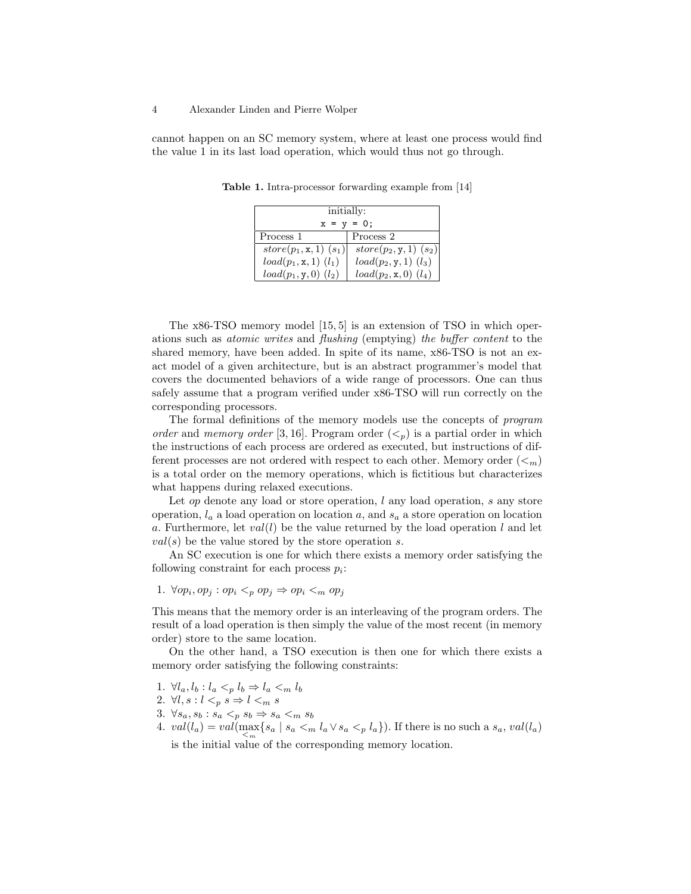cannot happen on an SC memory system, where at least one process would find the value 1 in its last load operation, which would thus not go through.

| initially:                  |                                       |  |  |  |  |  |
|-----------------------------|---------------------------------------|--|--|--|--|--|
| $x = y = 0$ ;               |                                       |  |  |  |  |  |
| Process 1                   | Process 2                             |  |  |  |  |  |
| store $(p_1, x, 1)$ $(s_1)$ | $\overline{store}(p_2, y, 1)$ $(s_2)$ |  |  |  |  |  |
| $load(p_1, x, 1)$ $(l_1)$   | $load(p_2, y, 1)$ $(l_3)$             |  |  |  |  |  |
| $load(p_1, y, 0)$ $(l_2)$   | $load(p_2, x, 0)$ $(l_4)$             |  |  |  |  |  |

Table 1. Intra-processor forwarding example from [14]

The x86-TSO memory model [15, 5] is an extension of TSO in which operations such as atomic writes and flushing (emptying) the buffer content to the shared memory, have been added. In spite of its name, x86-TSO is not an exact model of a given architecture, but is an abstract programmer's model that covers the documented behaviors of a wide range of processors. One can thus safely assume that a program verified under x86-TSO will run correctly on the corresponding processors.

The formal definitions of the memory models use the concepts of program order and memory order [3, 16]. Program order  $(<sub>p</sub>)$  is a partial order in which the instructions of each process are ordered as executed, but instructions of different processes are not ordered with respect to each other. Memory order  $(<sub>m</sub>)$ is a total order on the memory operations, which is fictitious but characterizes what happens during relaxed executions.

Let  $op$  denote any load or store operation,  $l$  any load operation,  $s$  any store operation,  $l_a$  a load operation on location a, and  $s_a$  a store operation on location a. Furthermore, let  $val(l)$  be the value returned by the load operation l and let  $val(s)$  be the value stored by the store operation s.

An SC execution is one for which there exists a memory order satisfying the following constraint for each process  $p_i$ :

1.  $\forall op_i, op_j : op_i \leq_p op_j \Rightarrow op_i \leq_m op_j$ 

This means that the memory order is an interleaving of the program orders. The result of a load operation is then simply the value of the most recent (in memory order) store to the same location.

On the other hand, a TSO execution is then one for which there exists a memory order satisfying the following constraints:

- 1.  $\forall l_a, l_b : l_a \leq p l_b \Rightarrow l_a \leq m l_b$
- 2.  $\forall l, s : l \leq p s \Rightarrow l \leq m s$
- 3.  $\forall s_a, s_b : s_a \leq_p s_b \Rightarrow s_a \leq_m s_b$
- 4.  $val(l_a) = val(\max_{\leq m} \{s_a \mid s_a \leq_m l_a \vee s_a \leq_p l_a \})$ . If there is no such a  $s_a$ ,  $val(l_a)$ is the initial value of the corresponding memory location.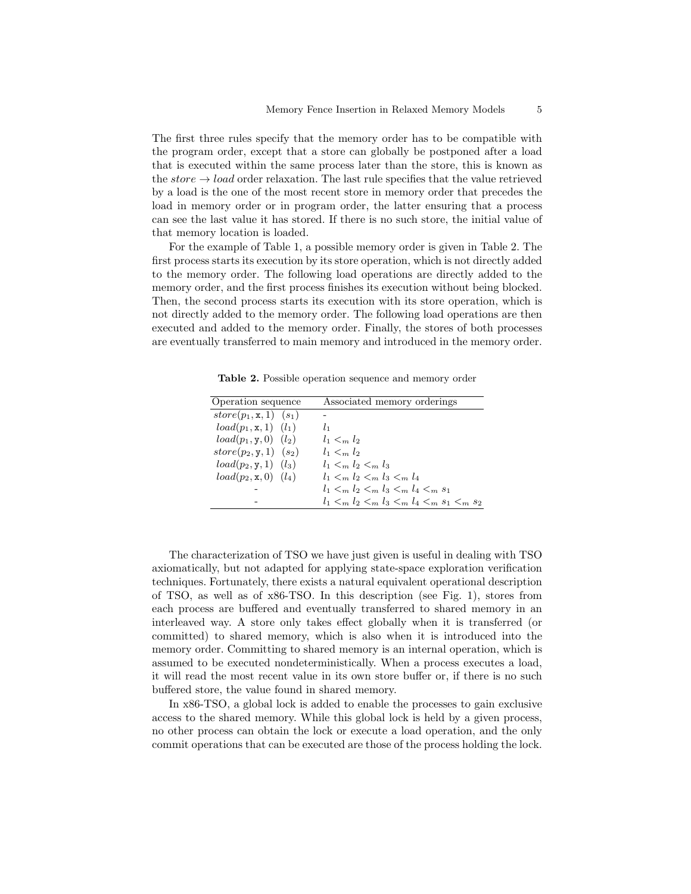The first three rules specify that the memory order has to be compatible with the program order, except that a store can globally be postponed after a load that is executed within the same process later than the store, this is known as the *store*  $\rightarrow$  *load* order relaxation. The last rule specifies that the value retrieved by a load is the one of the most recent store in memory order that precedes the load in memory order or in program order, the latter ensuring that a process can see the last value it has stored. If there is no such store, the initial value of that memory location is loaded.

For the example of Table 1, a possible memory order is given in Table 2. The first process starts its execution by its store operation, which is not directly added to the memory order. The following load operations are directly added to the memory order, and the first process finishes its execution without being blocked. Then, the second process starts its execution with its store operation, which is not directly added to the memory order. The following load operations are then executed and added to the memory order. Finally, the stores of both processes are eventually transferred to main memory and introduced in the memory order.

Table 2. Possible operation sequence and memory order

| Operation sequence         | Associated memory orderings                             |
|----------------------------|---------------------------------------------------------|
| $store(p_1, x, 1)$ $(s_1)$ |                                                         |
| $load(p_1, x, 1)$ $(l_1)$  | $l_{1}$                                                 |
| $load(p_1, y, 0)$ $(l_2)$  | $l_1 \leq m l_2$                                        |
| $store(p_2, y, 1)$ $(s_2)$ | $l_1 <_{m} l_2$                                         |
| $load(p_2, y, 1)$ $(l_3)$  | $l_1 < m l_2 < m l_3$                                   |
| $load(p_2, x, 0)$ $(l_4)$  | $l_1 < m l_2 < m l_3 < m l_4$                           |
|                            | $l_1 < m l_2 < m l_3 < m l_4 < m s_1$                   |
|                            | $l_1 <_{m} l_2 <_{m} l_3 <_{m} l_4 <_{m} s_1 <_{m} s_2$ |

The characterization of TSO we have just given is useful in dealing with TSO axiomatically, but not adapted for applying state-space exploration verification techniques. Fortunately, there exists a natural equivalent operational description of TSO, as well as of x86-TSO. In this description (see Fig. 1), stores from each process are buffered and eventually transferred to shared memory in an interleaved way. A store only takes effect globally when it is transferred (or committed) to shared memory, which is also when it is introduced into the memory order. Committing to shared memory is an internal operation, which is assumed to be executed nondeterministically. When a process executes a load, it will read the most recent value in its own store buffer or, if there is no such buffered store, the value found in shared memory.

In x86-TSO, a global lock is added to enable the processes to gain exclusive access to the shared memory. While this global lock is held by a given process, no other process can obtain the lock or execute a load operation, and the only commit operations that can be executed are those of the process holding the lock.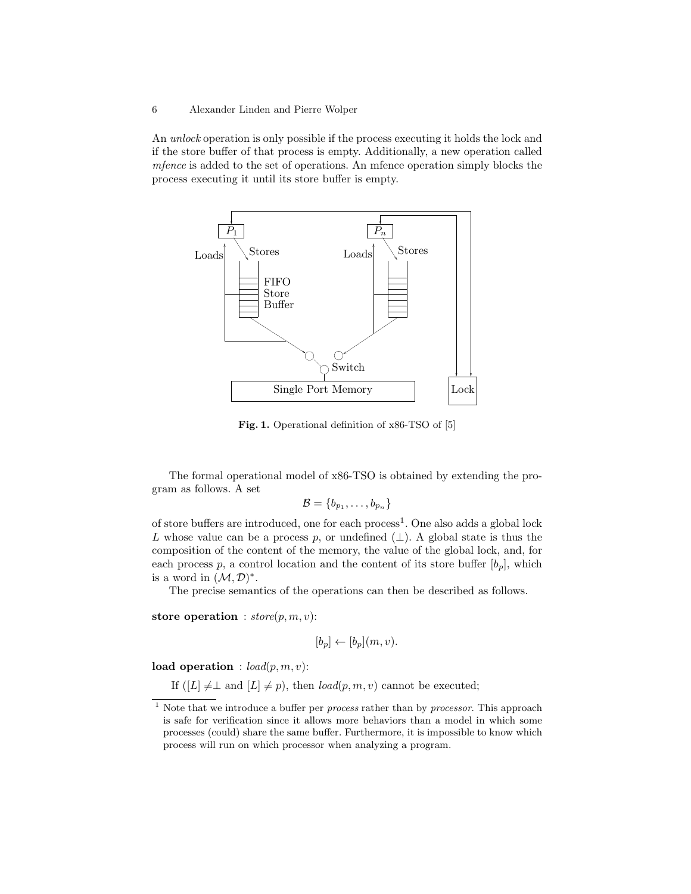An unlock operation is only possible if the process executing it holds the lock and if the store buffer of that process is empty. Additionally, a new operation called mfence is added to the set of operations. An mfence operation simply blocks the process executing it until its store buffer is empty.



Fig. 1. Operational definition of x86-TSO of [5]

The formal operational model of x86-TSO is obtained by extending the program as follows. A set

$$
\mathcal{B} = \{b_{p_1}, \ldots, b_{p_n}\}
$$

of store buffers are introduced, one for each process<sup>1</sup>. One also adds a global lock L whose value can be a process p, or undefined  $(\perp)$ . A global state is thus the composition of the content of the memory, the value of the global lock, and, for each process p, a control location and the content of its store buffer  $[b_p]$ , which is a word in  $(\mathcal{M}, \mathcal{D})^*$ .

The precise semantics of the operations can then be described as follows.

store operation :  $store(p, m, v)$ :

$$
[b_p] \leftarrow [b_p](m, v).
$$

load operation :  $load(p, m, v)$ :

If  $([L] \neq \perp$  and  $[L] \neq p$ , then  $\text{load}(p, m, v)$  cannot be executed;

 $^{\rm 1}$  Note that we introduce a buffer per  $process$  rather than by  $processor.$  This approach is safe for verification since it allows more behaviors than a model in which some processes (could) share the same buffer. Furthermore, it is impossible to know which process will run on which processor when analyzing a program.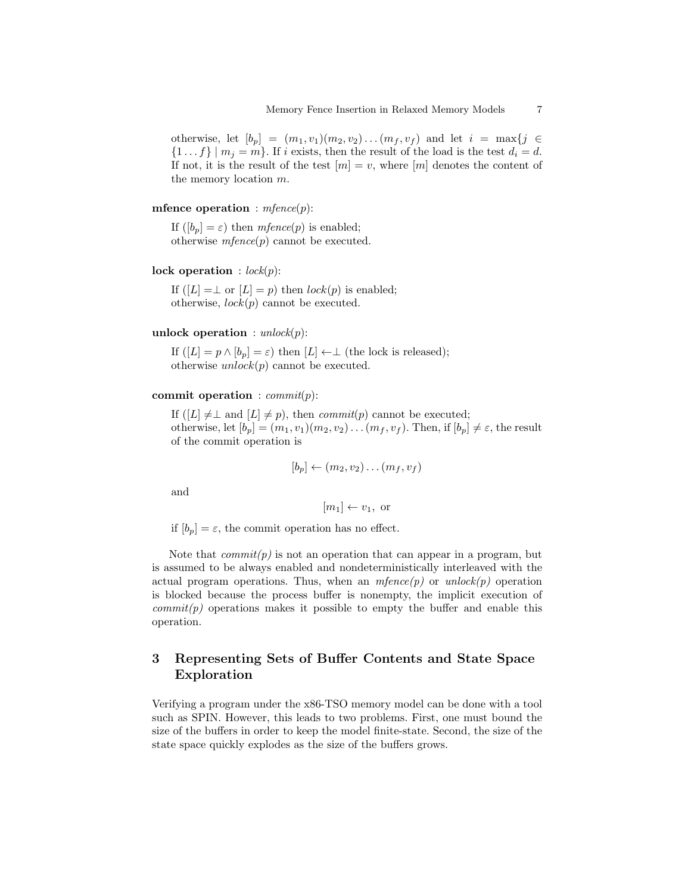otherwise, let  $[b_p] = (m_1, v_1)(m_2, v_2) \dots (m_f, v_f)$  and let  $i = \max\{j \in$  $\{1 \dots f\}$  |  $m_j = m\}$ . If i exists, then the result of the load is the test  $d_i = d$ . If not, it is the result of the test  $[m] = v$ , where  $[m]$  denotes the content of the memory location m.

#### mfence operation :  $mfence(p)$ :

If  $([b_p] = \varepsilon)$  then mfence(p) is enabled; otherwise  $m\ell\n\rho$  cannot be executed.

#### lock operation :  $lock(p)$ :

If  $([L] = \perp$  or  $[L] = p)$  then  $lock(p)$  is enabled; otherwise,  $lock(p)$  cannot be executed.

### unlock operation :  $unlock(p)$ :

If  $([L] = p \wedge [b_p] = \varepsilon)$  then  $[L] \leftarrow \perp$  (the lock is released); otherwise  $unlock(p)$  cannot be executed.

#### commit operation :  $commit(p)$ :

If  $([L] \neq \perp$  and  $[L] \neq p)$ , then *commit*(p) cannot be executed; otherwise, let  $[b_p] = (m_1, v_1)(m_2, v_2) \dots (m_f, v_f)$ . Then, if  $[b_p] \neq \varepsilon$ , the result of the commit operation is

$$
[b_p] \leftarrow (m_2, v_2) \dots (m_f, v_f)
$$

and

$$
[m_1] \leftarrow v_1
$$
, or

if  $[b_p] = \varepsilon$ , the commit operation has no effect.

Note that  $commit(p)$  is not an operation that can appear in a program, but is assumed to be always enabled and nondeterministically interleaved with the actual program operations. Thus, when an  $mfence(p)$  or  $unlock(p)$  operation is blocked because the process buffer is nonempty, the implicit execution of  $commit(p)$  operations makes it possible to empty the buffer and enable this operation.

# 3 Representing Sets of Buffer Contents and State Space Exploration

Verifying a program under the x86-TSO memory model can be done with a tool such as SPIN. However, this leads to two problems. First, one must bound the size of the buffers in order to keep the model finite-state. Second, the size of the state space quickly explodes as the size of the buffers grows.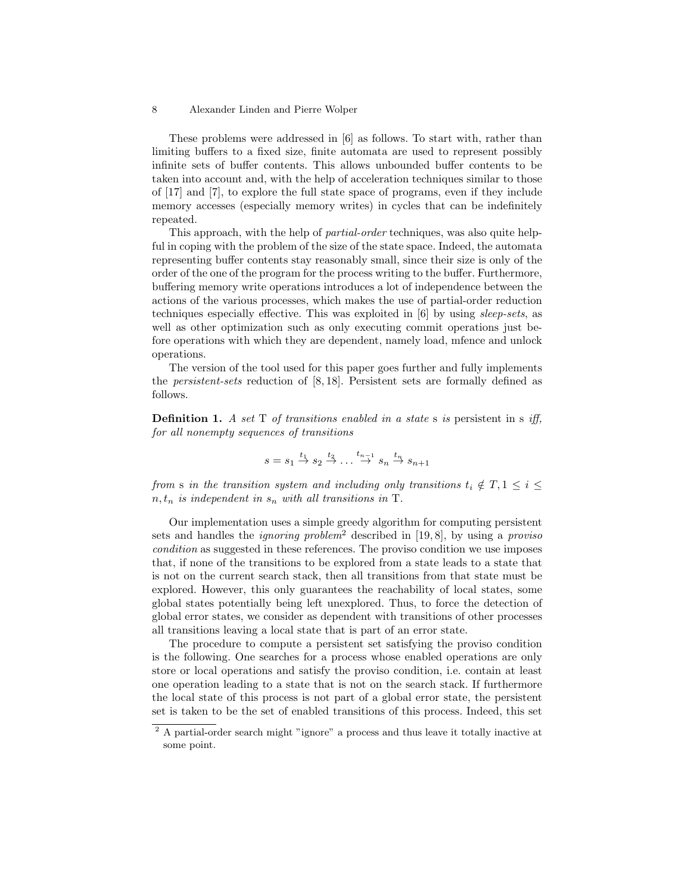These problems were addressed in [6] as follows. To start with, rather than limiting buffers to a fixed size, finite automata are used to represent possibly infinite sets of buffer contents. This allows unbounded buffer contents to be taken into account and, with the help of acceleration techniques similar to those of [17] and [7], to explore the full state space of programs, even if they include memory accesses (especially memory writes) in cycles that can be indefinitely repeated.

This approach, with the help of *partial-order* techniques, was also quite helpful in coping with the problem of the size of the state space. Indeed, the automata representing buffer contents stay reasonably small, since their size is only of the order of the one of the program for the process writing to the buffer. Furthermore, buffering memory write operations introduces a lot of independence between the actions of the various processes, which makes the use of partial-order reduction techniques especially effective. This was exploited in [6] by using sleep-sets, as well as other optimization such as only executing commit operations just before operations with which they are dependent, namely load, mfence and unlock operations.

The version of the tool used for this paper goes further and fully implements the persistent-sets reduction of [8, 18]. Persistent sets are formally defined as follows.

**Definition 1.** A set  $T$  of transitions enabled in a state s is persistent in s iff. for all nonempty sequences of transitions

$$
s = s_1 \stackrel{t_1}{\rightarrow} s_2 \stackrel{t_2}{\rightarrow} \dots \stackrel{t_{n-1}}{\rightarrow} s_n \stackrel{t_n}{\rightarrow} s_{n+1}
$$

from s in the transition system and including only transitions  $t_i \notin T, 1 \leq i \leq j$  $n, t_n$  is independent in  $s_n$  with all transitions in T.

Our implementation uses a simple greedy algorithm for computing persistent sets and handles the *ignoring problem*<sup>2</sup> described in [19,8], by using a *proviso* condition as suggested in these references. The proviso condition we use imposes that, if none of the transitions to be explored from a state leads to a state that is not on the current search stack, then all transitions from that state must be explored. However, this only guarantees the reachability of local states, some global states potentially being left unexplored. Thus, to force the detection of global error states, we consider as dependent with transitions of other processes all transitions leaving a local state that is part of an error state.

The procedure to compute a persistent set satisfying the proviso condition is the following. One searches for a process whose enabled operations are only store or local operations and satisfy the proviso condition, i.e. contain at least one operation leading to a state that is not on the search stack. If furthermore the local state of this process is not part of a global error state, the persistent set is taken to be the set of enabled transitions of this process. Indeed, this set

<sup>&</sup>lt;sup>2</sup> A partial-order search might "ignore" a process and thus leave it totally inactive at some point.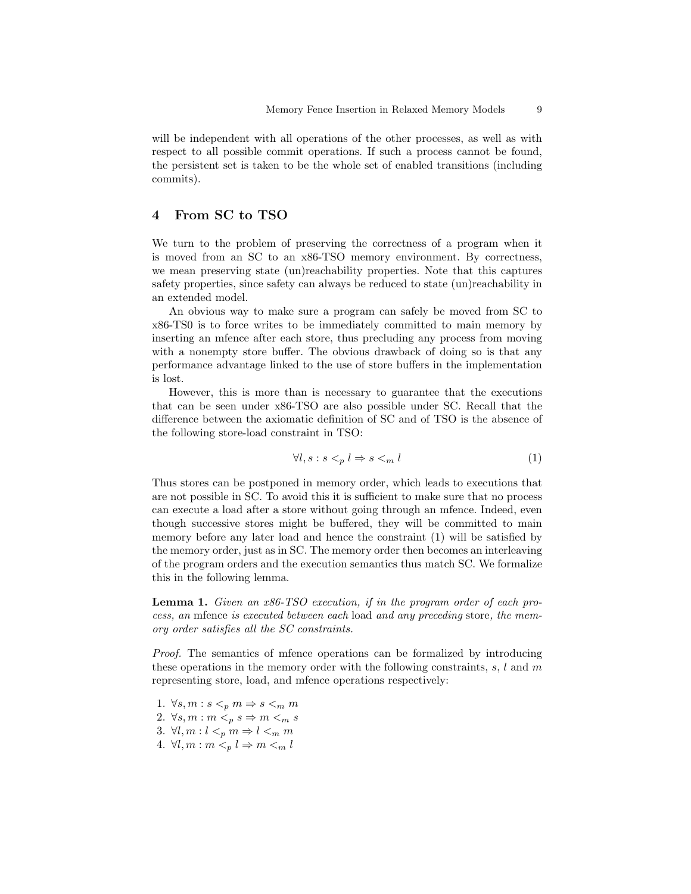will be independent with all operations of the other processes, as well as with respect to all possible commit operations. If such a process cannot be found, the persistent set is taken to be the whole set of enabled transitions (including commits).

# 4 From SC to TSO

We turn to the problem of preserving the correctness of a program when it is moved from an SC to an x86-TSO memory environment. By correctness, we mean preserving state (un)reachability properties. Note that this captures safety properties, since safety can always be reduced to state (un)reachability in an extended model.

An obvious way to make sure a program can safely be moved from SC to x86-TS0 is to force writes to be immediately committed to main memory by inserting an mfence after each store, thus precluding any process from moving with a nonempty store buffer. The obvious drawback of doing so is that any performance advantage linked to the use of store buffers in the implementation is lost.

However, this is more than is necessary to guarantee that the executions that can be seen under x86-TSO are also possible under SC. Recall that the difference between the axiomatic definition of SC and of TSO is the absence of the following store-load constraint in TSO:

$$
\forall l, s : s <_{p} l \Rightarrow s <_{m} l \tag{1}
$$

Thus stores can be postponed in memory order, which leads to executions that are not possible in SC. To avoid this it is sufficient to make sure that no process can execute a load after a store without going through an mfence. Indeed, even though successive stores might be buffered, they will be committed to main memory before any later load and hence the constraint (1) will be satisfied by the memory order, just as in SC. The memory order then becomes an interleaving of the program orders and the execution semantics thus match SC. We formalize this in the following lemma.

Lemma 1. Given an x86-TSO execution, if in the program order of each process, an mfence is executed between each load and any preceding store, the memory order satisfies all the SC constraints.

Proof. The semantics of mfence operations can be formalized by introducing these operations in the memory order with the following constraints, s, l and m representing store, load, and mfence operations respectively:

- 1.  $\forall s, m : s \leq_p m \Rightarrow s \leq_m m$
- 2.  $\forall s, m : m \leq p s \Rightarrow m \leq_m s$
- 3.  $\forall l, m : l \leq_p m \Rightarrow l \leq_m m$
- 4.  $\forall l, m : m \leq p l \Rightarrow m \leq m l$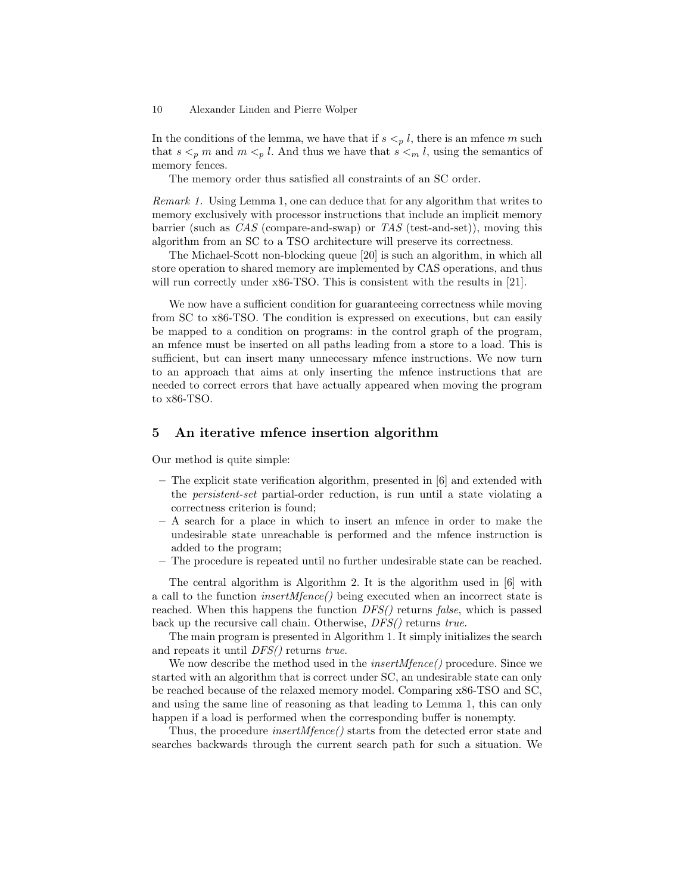In the conditions of the lemma, we have that if  $s < p \ell$ , there is an mience m such that  $s <_{p} m$  and  $m <_{p} l$ . And thus we have that  $s <_{m} l$ , using the semantics of memory fences.

The memory order thus satisfied all constraints of an SC order.

Remark 1. Using Lemma 1, one can deduce that for any algorithm that writes to memory exclusively with processor instructions that include an implicit memory barrier (such as CAS (compare-and-swap) or TAS (test-and-set)), moving this algorithm from an SC to a TSO architecture will preserve its correctness.

The Michael-Scott non-blocking queue [20] is such an algorithm, in which all store operation to shared memory are implemented by CAS operations, and thus will run correctly under x86-TSO. This is consistent with the results in [21].

We now have a sufficient condition for guaranteeing correctness while moving from SC to x86-TSO. The condition is expressed on executions, but can easily be mapped to a condition on programs: in the control graph of the program, an mfence must be inserted on all paths leading from a store to a load. This is sufficient, but can insert many unnecessary mfence instructions. We now turn to an approach that aims at only inserting the mfence instructions that are needed to correct errors that have actually appeared when moving the program to x86-TSO.

### 5 An iterative mfence insertion algorithm

Our method is quite simple:

- The explicit state verification algorithm, presented in [6] and extended with the persistent-set partial-order reduction, is run until a state violating a correctness criterion is found;
- A search for a place in which to insert an mfence in order to make the undesirable state unreachable is performed and the mfence instruction is added to the program;
- The procedure is repeated until no further undesirable state can be reached.

The central algorithm is Algorithm 2. It is the algorithm used in [6] with a call to the function insertMfence() being executed when an incorrect state is reached. When this happens the function  $DFS()$  returns false, which is passed back up the recursive call chain. Otherwise, DFS() returns true.

The main program is presented in Algorithm 1. It simply initializes the search and repeats it until DFS() returns true.

We now describe the method used in the *insertMfence*() procedure. Since we started with an algorithm that is correct under SC, an undesirable state can only be reached because of the relaxed memory model. Comparing x86-TSO and SC, and using the same line of reasoning as that leading to Lemma 1, this can only happen if a load is performed when the corresponding buffer is nonempty.

Thus, the procedure insertMfence() starts from the detected error state and searches backwards through the current search path for such a situation. We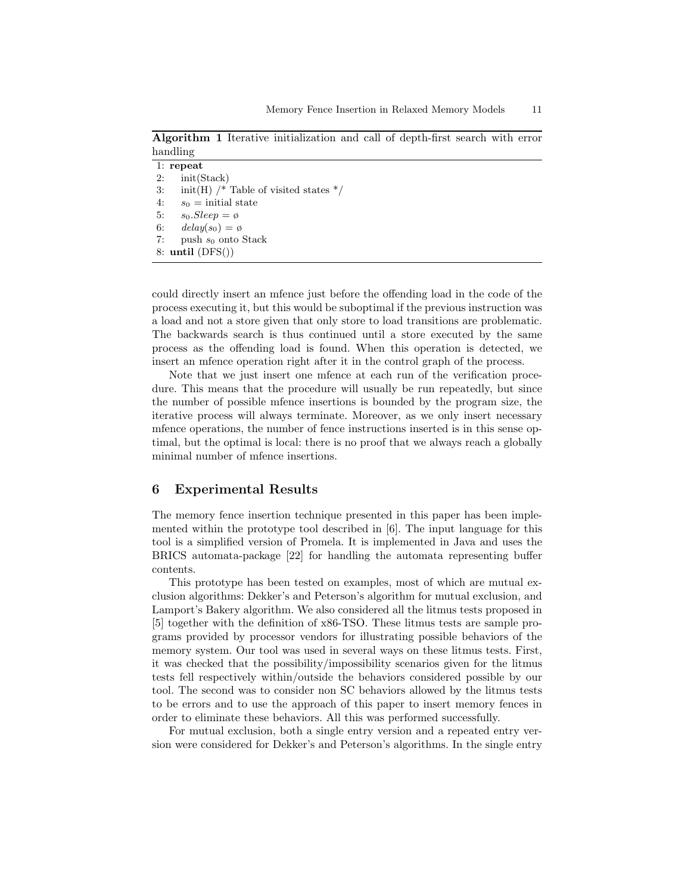Algorithm 1 Iterative initialization and call of depth-first search with error handling

1: repeat 2: init(Stack) 3: init(H)  $\text{/*}$  Table of visited states  $\text{*}$ 4:  $s_0 = \text{initial state}$ 5:  $s_0. \text{Sleep} = \emptyset$ 6:  $delay(s_0) = \emptyset$ 7: push  $s_0$  onto Stack 8: until (DFS())

could directly insert an mfence just before the offending load in the code of the process executing it, but this would be suboptimal if the previous instruction was a load and not a store given that only store to load transitions are problematic. The backwards search is thus continued until a store executed by the same process as the offending load is found. When this operation is detected, we insert an mfence operation right after it in the control graph of the process.

Note that we just insert one mfence at each run of the verification procedure. This means that the procedure will usually be run repeatedly, but since the number of possible mfence insertions is bounded by the program size, the iterative process will always terminate. Moreover, as we only insert necessary mfence operations, the number of fence instructions inserted is in this sense optimal, but the optimal is local: there is no proof that we always reach a globally minimal number of mfence insertions.

# 6 Experimental Results

The memory fence insertion technique presented in this paper has been implemented within the prototype tool described in [6]. The input language for this tool is a simplified version of Promela. It is implemented in Java and uses the BRICS automata-package [22] for handling the automata representing buffer contents.

This prototype has been tested on examples, most of which are mutual exclusion algorithms: Dekker's and Peterson's algorithm for mutual exclusion, and Lamport's Bakery algorithm. We also considered all the litmus tests proposed in [5] together with the definition of x86-TSO. These litmus tests are sample programs provided by processor vendors for illustrating possible behaviors of the memory system. Our tool was used in several ways on these litmus tests. First, it was checked that the possibility/impossibility scenarios given for the litmus tests fell respectively within/outside the behaviors considered possible by our tool. The second was to consider non SC behaviors allowed by the litmus tests to be errors and to use the approach of this paper to insert memory fences in order to eliminate these behaviors. All this was performed successfully.

For mutual exclusion, both a single entry version and a repeated entry version were considered for Dekker's and Peterson's algorithms. In the single entry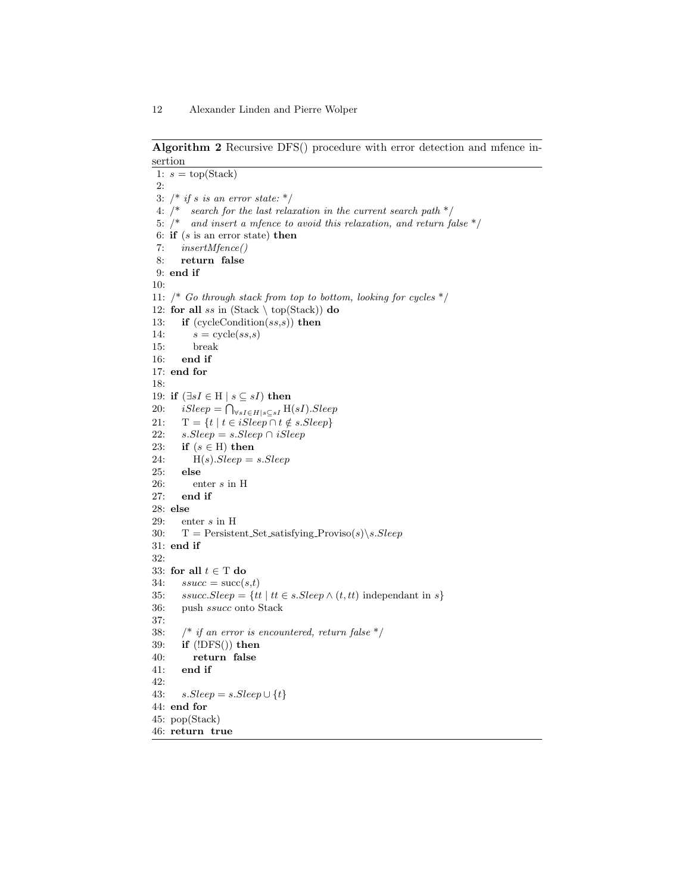Algorithm 2 Recursive DFS() procedure with error detection and mfence insertion

1:  $s = \text{top}(\text{Stack})$ 2: 3:  $/*$  if s is an error state: \*/ 4:  $\frac{4}{5}$  search for the last relaxation in the current search path  $\frac{k}{4}$ 5:  $\frac{1}{3}$  and insert a mfence to avoid this relaxation, and return false \*/ 6: if  $(s$  is an error state) then 7: insertMfence() 8: return false 9: end if 10: 11:  $/*$  Go through stack from top to bottom, looking for cycles  $*/$ 12: for all ss in  $(Stack \setminus top(Stack))$  do 13: if  $(cycleCondition(ss,s))$  then 14:  $s = cycle(ss,s)$ 15: break 16: end if 17: end for 18: 19: if  $(\exists sI \in H \mid s \subseteq sI)$  then 20:  $iSleep = \bigcap_{\forall sI \in H|s \subseteq sI} H(sI).sleep$ 21:  $T = \{t \mid t \in iSleep \cap t \notin s.Sleep\}$ 22:  $s.Sleep = s.Sleep \cap iSleep$ 23: if  $(s \in H)$  then 24:  $H(s).Sleep = s.Sleep$ 25: else 26: enter s in H 27: end if 28: else 29: enter s in H 30:  $T =$  Persistent Set\_satisfying Proviso(s)\s. Sleep 31: end if 32: 33: for all  $t\in\mathcal{T}$  do 34:  $ssucc = succ(s,t)$ 35: ssucc.Sleep = {tt | tt ∈ s.Sleep  $\wedge$  (t, tt) independant in s} 36: push ssucc onto Stack 37: 38:  $\frac{1}{38}$  /\* if an error is encountered, return false \*/ 39: if (!DFS()) then 40: return false 41: end if 42: 43:  $s. \text{Sleep} = s. \text{Sleep} \cup \{t\}$ 44: end for 45: pop(Stack) 46: return true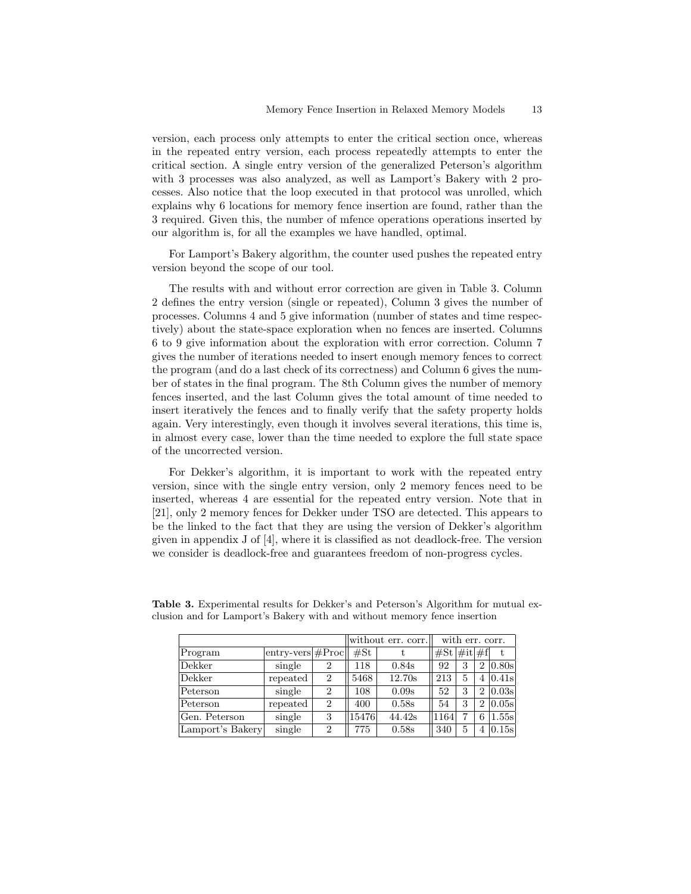version, each process only attempts to enter the critical section once, whereas in the repeated entry version, each process repeatedly attempts to enter the critical section. A single entry version of the generalized Peterson's algorithm with 3 processes was also analyzed, as well as Lamport's Bakery with 2 processes. Also notice that the loop executed in that protocol was unrolled, which explains why 6 locations for memory fence insertion are found, rather than the 3 required. Given this, the number of mfence operations operations inserted by our algorithm is, for all the examples we have handled, optimal.

For Lamport's Bakery algorithm, the counter used pushes the repeated entry version beyond the scope of our tool.

The results with and without error correction are given in Table 3. Column 2 defines the entry version (single or repeated), Column 3 gives the number of processes. Columns 4 and 5 give information (number of states and time respectively) about the state-space exploration when no fences are inserted. Columns 6 to 9 give information about the exploration with error correction. Column 7 gives the number of iterations needed to insert enough memory fences to correct the program (and do a last check of its correctness) and Column 6 gives the number of states in the final program. The 8th Column gives the number of memory fences inserted, and the last Column gives the total amount of time needed to insert iteratively the fences and to finally verify that the safety property holds again. Very interestingly, even though it involves several iterations, this time is, in almost every case, lower than the time needed to explore the full state space of the uncorrected version.

For Dekker's algorithm, it is important to work with the repeated entry version, since with the single entry version, only 2 memory fences need to be inserted, whereas 4 are essential for the repeated entry version. Note that in [21], only 2 memory fences for Dekker under TSO are detected. This appears to be the linked to the fact that they are using the version of Dekker's algorithm given in appendix J of [4], where it is classified as not deadlock-free. The version we consider is deadlock-free and guarantees freedom of non-progress cycles.

|                  |                           |                | without err. corr. |        | with err. corr.  |   |                |                    |
|------------------|---------------------------|----------------|--------------------|--------|------------------|---|----------------|--------------------|
| Program          | $\text{entry-vers}$ #Proc |                | #St                |        | $#St$ $#it$ $#f$ |   |                | t.                 |
| Dekker           | single                    | 2              | 118                | 0.84s  | 92               | 3 | $\overline{2}$ | $ 0.80\mathrm{s} $ |
| Dekker           | repeated                  | $\overline{2}$ | 5468               | 12.70s | 213              | 5 | $\overline{4}$ | 0.41s              |
| Peterson         | single                    | $\overline{2}$ | 108                | 0.09s  | 52               | 3 | $\overline{2}$ | 0.03s              |
| Peterson         | repeated                  | $\overline{2}$ | 400                | 0.58s  | 54               | 3 | 2              | 0.05s              |
| Gen. Peterson    | single                    | 3              | 15476              | 44.42s | 1164             |   | 6              | 1.55s              |
| Lamport's Bakery | single                    | 2              | 775                | 0.58s  | 340              | 5 |                | 0.15s              |

Table 3. Experimental results for Dekker's and Peterson's Algorithm for mutual exclusion and for Lamport's Bakery with and without memory fence insertion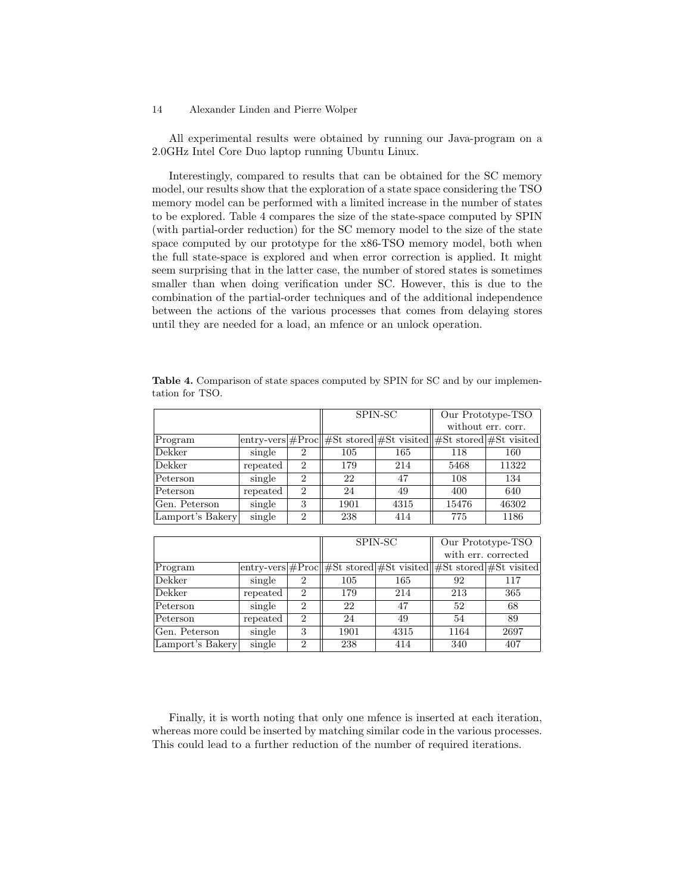All experimental results were obtained by running our Java-program on a 2.0GHz Intel Core Duo laptop running Ubuntu Linux.

Interestingly, compared to results that can be obtained for the SC memory model, our results show that the exploration of a state space considering the TSO memory model can be performed with a limited increase in the number of states to be explored. Table 4 compares the size of the state-space computed by SPIN (with partial-order reduction) for the SC memory model to the size of the state space computed by our prototype for the x86-TSO memory model, both when the full state-space is explored and when error correction is applied. It might seem surprising that in the latter case, the number of stored states is sometimes smaller than when doing verification under SC. However, this is due to the combination of the partial-order techniques and of the additional independence between the actions of the various processes that comes from delaying stores until they are needed for a load, an mfence or an unlock operation.

|                  |          |                |      | SPIN-SC                                                          | Our Prototype-TSO |       |  |
|------------------|----------|----------------|------|------------------------------------------------------------------|-------------------|-------|--|
|                  |          |                |      | without err. corr.                                               |                   |       |  |
| Program          |          |                |      | entry-vers #Proc  #St stored #St visited  #St stored #St visited |                   |       |  |
| Dekker           | single   | $\overline{2}$ | 105  | 165                                                              | 118               | 160   |  |
| Dekker           | repeated | $\overline{2}$ | 179  | 214                                                              | 5468              | 11322 |  |
| Peterson         | single   | $\overline{2}$ | 22   | 47                                                               | 108               | 134   |  |
| Peterson         | repeated | $\overline{2}$ | 24   | 49                                                               | 400               | 640   |  |
| Gen. Peterson    | single   | 3              | 1901 | 4315                                                             | 15476             | 46302 |  |
| Lamport's Bakery | single   | $\overline{2}$ | 238  | 414                                                              | 775               | 1186  |  |

Table 4. Comparison of state spaces computed by SPIN for SC and by our implementation for TSO.

|                  |          |                |      | SPIN-SC                                                          | Our Prototype-TSO<br>with err. corrected |      |  |  |
|------------------|----------|----------------|------|------------------------------------------------------------------|------------------------------------------|------|--|--|
| Program          |          |                |      | entry-vers #Proc  #St stored #St visited  #St stored #St visited |                                          |      |  |  |
| Dekker           | single   | 2              | 105  | 165                                                              | 92                                       | 117  |  |  |
| Dekker           | repeated | $\overline{2}$ | 179  | 214                                                              | 213                                      | 365  |  |  |
| Peterson         | single   | $\overline{2}$ | 22   | 47                                                               | 52                                       | 68   |  |  |
| Peterson         | repeated | $\overline{2}$ | 24   | 49                                                               | 54                                       | 89   |  |  |
| Gen. Peterson    | single   | 3              | 1901 | 4315                                                             | 1164                                     | 2697 |  |  |
| Lamport's Bakery | single   | $\overline{2}$ | 238  | 414                                                              | 340                                      | 407  |  |  |

Finally, it is worth noting that only one mfence is inserted at each iteration, whereas more could be inserted by matching similar code in the various processes. This could lead to a further reduction of the number of required iterations.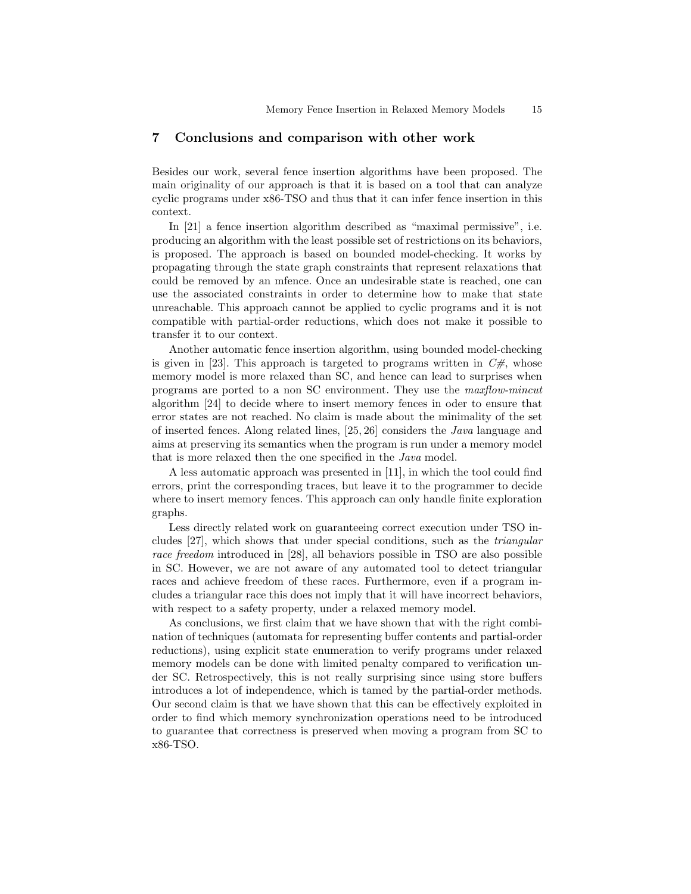# 7 Conclusions and comparison with other work

Besides our work, several fence insertion algorithms have been proposed. The main originality of our approach is that it is based on a tool that can analyze cyclic programs under x86-TSO and thus that it can infer fence insertion in this context.

In [21] a fence insertion algorithm described as "maximal permissive", i.e. producing an algorithm with the least possible set of restrictions on its behaviors, is proposed. The approach is based on bounded model-checking. It works by propagating through the state graph constraints that represent relaxations that could be removed by an mfence. Once an undesirable state is reached, one can use the associated constraints in order to determine how to make that state unreachable. This approach cannot be applied to cyclic programs and it is not compatible with partial-order reductions, which does not make it possible to transfer it to our context.

Another automatic fence insertion algorithm, using bounded model-checking is given in [23]. This approach is targeted to programs written in  $C\#$ , whose memory model is more relaxed than SC, and hence can lead to surprises when programs are ported to a non SC environment. They use the maxflow-mincut algorithm [24] to decide where to insert memory fences in oder to ensure that error states are not reached. No claim is made about the minimality of the set of inserted fences. Along related lines, [25, 26] considers the Java language and aims at preserving its semantics when the program is run under a memory model that is more relaxed then the one specified in the Java model.

A less automatic approach was presented in [11], in which the tool could find errors, print the corresponding traces, but leave it to the programmer to decide where to insert memory fences. This approach can only handle finite exploration graphs.

Less directly related work on guaranteeing correct execution under TSO includes [27], which shows that under special conditions, such as the triangular race freedom introduced in [28], all behaviors possible in TSO are also possible in SC. However, we are not aware of any automated tool to detect triangular races and achieve freedom of these races. Furthermore, even if a program includes a triangular race this does not imply that it will have incorrect behaviors, with respect to a safety property, under a relaxed memory model.

As conclusions, we first claim that we have shown that with the right combination of techniques (automata for representing buffer contents and partial-order reductions), using explicit state enumeration to verify programs under relaxed memory models can be done with limited penalty compared to verification under SC. Retrospectively, this is not really surprising since using store buffers introduces a lot of independence, which is tamed by the partial-order methods. Our second claim is that we have shown that this can be effectively exploited in order to find which memory synchronization operations need to be introduced to guarantee that correctness is preserved when moving a program from SC to x86-TSO.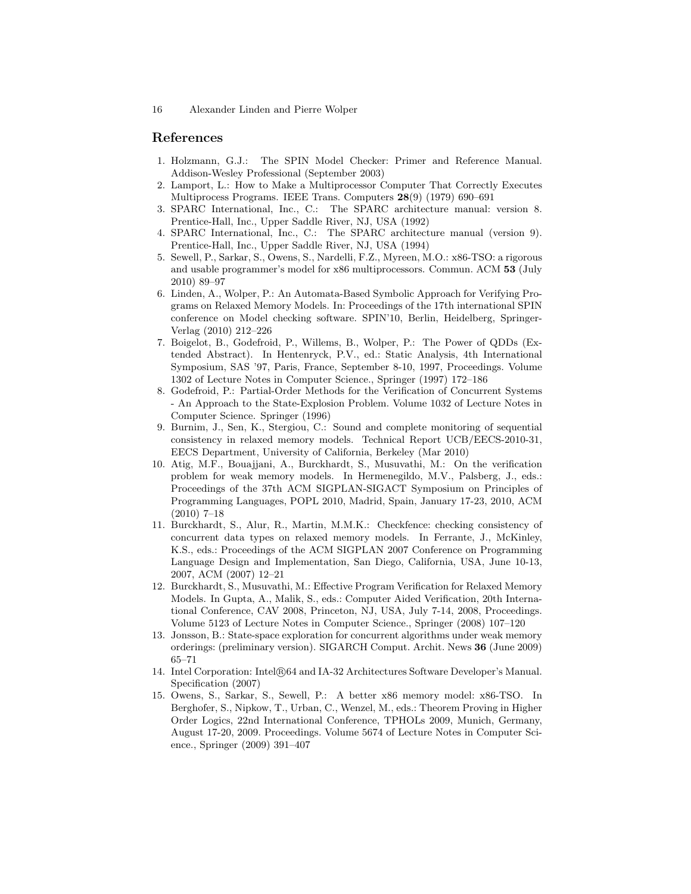# References

- 1. Holzmann, G.J.: The SPIN Model Checker: Primer and Reference Manual. Addison-Wesley Professional (September 2003)
- 2. Lamport, L.: How to Make a Multiprocessor Computer That Correctly Executes Multiprocess Programs. IEEE Trans. Computers 28(9) (1979) 690–691
- 3. SPARC International, Inc., C.: The SPARC architecture manual: version 8. Prentice-Hall, Inc., Upper Saddle River, NJ, USA (1992)
- 4. SPARC International, Inc., C.: The SPARC architecture manual (version 9). Prentice-Hall, Inc., Upper Saddle River, NJ, USA (1994)
- 5. Sewell, P., Sarkar, S., Owens, S., Nardelli, F.Z., Myreen, M.O.: x86-TSO: a rigorous and usable programmer's model for x86 multiprocessors. Commun. ACM 53 (July 2010) 89–97
- 6. Linden, A., Wolper, P.: An Automata-Based Symbolic Approach for Verifying Programs on Relaxed Memory Models. In: Proceedings of the 17th international SPIN conference on Model checking software. SPIN'10, Berlin, Heidelberg, Springer-Verlag (2010) 212–226
- 7. Boigelot, B., Godefroid, P., Willems, B., Wolper, P.: The Power of QDDs (Extended Abstract). In Hentenryck, P.V., ed.: Static Analysis, 4th International Symposium, SAS '97, Paris, France, September 8-10, 1997, Proceedings. Volume 1302 of Lecture Notes in Computer Science., Springer (1997) 172–186
- 8. Godefroid, P.: Partial-Order Methods for the Verification of Concurrent Systems - An Approach to the State-Explosion Problem. Volume 1032 of Lecture Notes in Computer Science. Springer (1996)
- 9. Burnim, J., Sen, K., Stergiou, C.: Sound and complete monitoring of sequential consistency in relaxed memory models. Technical Report UCB/EECS-2010-31, EECS Department, University of California, Berkeley (Mar 2010)
- 10. Atig, M.F., Bouajjani, A., Burckhardt, S., Musuvathi, M.: On the verification problem for weak memory models. In Hermenegildo, M.V., Palsberg, J., eds.: Proceedings of the 37th ACM SIGPLAN-SIGACT Symposium on Principles of Programming Languages, POPL 2010, Madrid, Spain, January 17-23, 2010, ACM  $(2010)$  7–18
- 11. Burckhardt, S., Alur, R., Martin, M.M.K.: Checkfence: checking consistency of concurrent data types on relaxed memory models. In Ferrante, J., McKinley, K.S., eds.: Proceedings of the ACM SIGPLAN 2007 Conference on Programming Language Design and Implementation, San Diego, California, USA, June 10-13, 2007, ACM (2007) 12–21
- 12. Burckhardt, S., Musuvathi, M.: Effective Program Verification for Relaxed Memory Models. In Gupta, A., Malik, S., eds.: Computer Aided Verification, 20th International Conference, CAV 2008, Princeton, NJ, USA, July 7-14, 2008, Proceedings. Volume 5123 of Lecture Notes in Computer Science., Springer (2008) 107–120
- 13. Jonsson, B.: State-space exploration for concurrent algorithms under weak memory orderings: (preliminary version). SIGARCH Comput. Archit. News 36 (June 2009) 65–71
- 14. Intel Corporation: Intel®64 and IA-32 Architectures Software Developer's Manual. Specification (2007)
- 15. Owens, S., Sarkar, S., Sewell, P.: A better x86 memory model: x86-TSO. In Berghofer, S., Nipkow, T., Urban, C., Wenzel, M., eds.: Theorem Proving in Higher Order Logics, 22nd International Conference, TPHOLs 2009, Munich, Germany, August 17-20, 2009. Proceedings. Volume 5674 of Lecture Notes in Computer Science., Springer (2009) 391–407